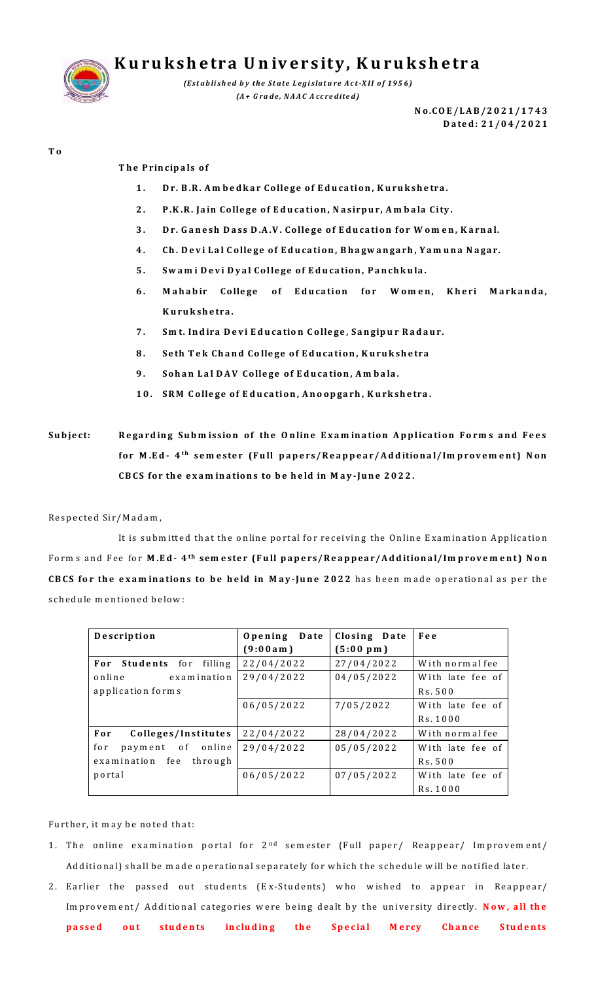

# **K u r u k s h e tr a U n iv e r s it y , K u r u k s h e tr a**

*(Established by the State Legislature Act-XII of 1956) (A + G ra d e , N A A C A cc re d ite d )*

> **N o .C O E / L A B / 2 0 2 1 /1 743 D a te d : 2 1 /0 4 / 2 0 2 1**

#### **T h e P rin cip a ls o f**

- 1. Dr. B.R. Am bedkar College of Education, Kurukshetra.
- 2. P.K.R. Jain College of Education, Nasirpur, Ambala City.
- 3. **Dr. Ganesh Dass D.A.V. College of Education for Women, Karnal.**
- **4 . C h . D e v i L a l C o lle ge o f E d u ca ti o n , B h a gw a n ga rh , Y a m u n a N a ga r.**
- **5 . S w a m i D e v i D y a l C o l le ge o f E d u ca tio n , P a n ch k u la .**
- 6. Mahabir College of Education for Women, Kheri Markanda, **K u ru k sh e tra .**
- **7 . S m t. In d ira D e v i E d u ca tio n C o lle ge , S a n gip u r R a d a u r.**
- 8. Seth Tek Chand College of Education, Kurukshetra
- 9. Sohan Lal DAV College of Education, Ambala.
- **10. S R M C o lle ge o f E d u ca ti o n , A n o o p ga rh , K u rk sh e tra .**
- Subject: Regarding Submission of the Online Examination Application Forms and Fees **f o r M .E d - 4 th se m e ste r (Fu ll p a p e rs/ R e a p p e a r/A d d itio n a l/ Im p ro v e m e n t) N o n C B C S f o r th e e x a m in a tio n s to b e h e ld in M a y -Ju n e 2022 .**

Respected Sir/Madam,

It is submitted that the online portal for receiving the Online Examination Application Forms and Fee for **M.Ed- 4<sup>th</sup> semester (Full papers/Reappear/Additional/Improvement) Non CBCS for the examinations to be held in May-June 2022** has been made operational as per the schedule mentioned below:

| Description                | Opening<br>Date | Closing Date | Fee              |
|----------------------------|-----------------|--------------|------------------|
|                            | (9:00am)        | (5:00~pm)    |                  |
| For Students for filling   | 22/04/2022      | 27/04/2022   | With normal fee  |
| online<br>examination      | 29/04/2022      | 04/05/2022   | With late fee of |
| application forms          |                 |              | Rs. 500          |
|                            | 06/05/2022      | 7/05/2022    | With late fee of |
|                            |                 |              | Rs. 1000         |
| For<br>Colleges/Institutes | 22/04/2022      | 28/04/2022   | With normal fee  |
| for.<br>payment of online  | 29/04/2022      | 05/05/2022   | With late fee of |
| examination fee<br>through |                 |              | Rs. 500          |
| portal                     | 06/05/2022      | 07/05/2022   | With late fee of |
|                            |                 |              | Rs. 1000         |

#### Further, it may be noted that:

- 1. The online examination portal for  $2<sup>nd</sup>$  semester (Full paper/ Reappear/ Improvement/ Additional) shall be made operational separately for which the schedule will be notified later.
- 2. Earlier the passed out students (Ex-Students) who wished to appear in Reappear/ Im provem ent/ Additional categories were being dealt by the university directly. Now, all the passed out students including the Special Mercy Chance Students

**T o**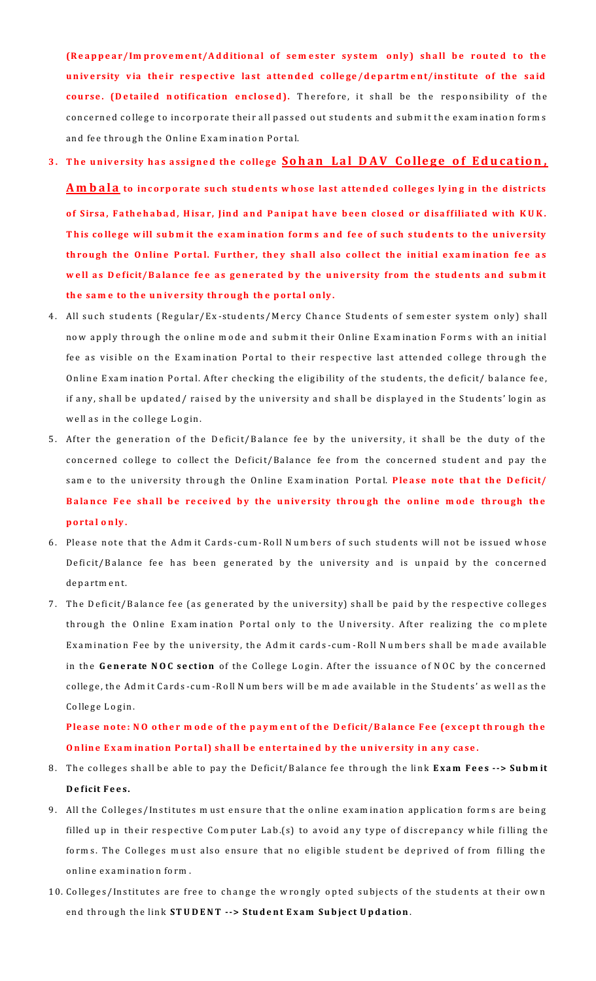(Reappear/Improvement/Additional of semester system only) shall be routed to the university via their respective last attended college/department/institute of the said course. (Detailed notification enclosed). Therefore, it shall be the responsibility of the concerned college to incorporate their all passed out students and submit the examination forms and fee through the Online Examination Portal.

## 3. The university has assigned the college **Sohan Lal DAV College of Education**,

<u>**Am b a l a**</u> to incorporate such students whose last attended colleges lying in the districts of Sirsa, Fathehabad, Hisar, Jind and Panipat have been closed or disaffiliated with KUK. This college will submit the examination forms and fee of such students to the university th rough the Online Portal. Further, they shall also collect the initial examination fee as well as Deficit/Balance fee as generated by the university from the students and submit the same to the university through the portal only.

- 4. All such students (Regular/Ex-students/Mercy Chance Students of semester system only) shall now apply through the online mode and submit their Online Examination Forms with an initial fee as visible on the Examination Portal to their respective last attended college through the Online Examination Portal. After checking the eligibility of the students, the deficit/ balance fee, if any, shall be updated/ raised by the university and shall be displayed in the Students' login as well as in the college Login.
- 5. After the generation of the Deficit/Balance fee by the university, it shall be the duty of the concerned college to collect the Deficit/Balance fee from the concerned student and pay the same to the university through the Online Examination Portal. Please note that the Deficit/ Balance Fee shall be received by the university through the online mode through the **p o rta l o n ly .**
- 6. Please note that the Admit Cards-cum-Roll Numbers of such students will not be issued whose Deficit/Balance fee has been generated by the university and is unpaid by the concerned d e p a rtm e n t.
- 7. The Deficit/Balance fee (as generated by the university) shall be paid by the respective colleges through the Online Examination Portal only to the University. After realizing the complete Examination Fee by the university, the Admit cards-cum-Roll Numbers shall be made available in the Generate NOC section of the College Login. After the issuance of NOC by the concerned college, the Admit Cards-cum-Roll Numbers will be made available in the Students' as well as the College Login.

Please note: NO other mode of the payment of the Deficit/Balance Fee (except through the **Online Examination Portal) shall be entertained by the university in any case.** 

- 8. The colleges shall be able to pay the Deficit/Balance fee through the link **Exam Fees --> Submit D e f icit F e e s.**
- 9. All the Colleges/Institutes must ensure that the online examination application forms are being filled up in their respective Computer Lab.(s) to avoid any type of discrepancy while filling the form s. The Colleges must also ensure that no eligible student be deprived of from filling the online examination form.
- 10. Colleges/Institutes are free to change the wrongly opted subjects of the students at their own end through the link **STUDENT** --> **Student Exam Subject Updation**.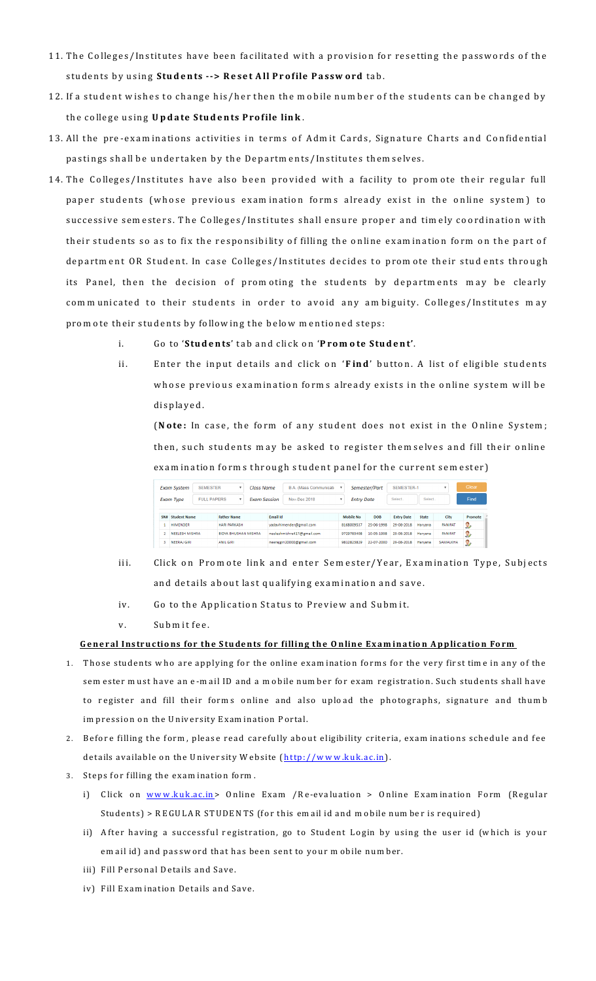- 11. The Colleges/Institutes have been facilitated with a provision for resetting the passwords of the students by using Students --> Reset All Profile Passw ord tab.
- 12. If a student wishes to change his/her then the mobile number of the students can be changed by the college using Update Students Profile link.
- 13. All the pre-examinations activities in terms of Admit Cards, Signature Charts and Confidential pastings shall be undertaken by the Departments/Institutes them selves.
- 14. The Colleges/Institutes have also been provided with a facility to promote their regular full paper students (whose previous examination forms already exist in the online system) to successive sem esters. The Colleges/Institutes shall ensure proper and timely coordination with their students so as to fix the responsibility of filling the online examination form on the part of department OR Student. In case Colleges/Institutes decides to promote their stud ents through its Panel, then the decision of promoting the students by departments may be clearly com municated to their students in order to avoid any ambiguity. Colleges/Institutes may prom ote their students by following the below mentioned steps:
	- i. Go to '**Students'** tab and click on 'Promote Student'.
	- ii. Enter the input details and click on '**Find**' button. A list of eligible students whose previous examination forms already exists in the online system will be displayed.

(Note: In case, the form of any student does not exist in the Online System; then, such students may be asked to register themselves and fill their online examination forms through student panel for the current semester)

| <b>Exam System</b><br><b>Exam Type</b> |                                          | <b>SEMESTER</b><br><b>FULL PAPERS</b><br>$\mathbf{v}$ |                             | Class Name          |                 | B.A. (Mass Communicati-                               | $\boldsymbol{\mathrm{v}}$ |            | Semester/Part | <b>SEMESTER-1</b> |              |          | Clear   |
|----------------------------------------|------------------------------------------|-------------------------------------------------------|-----------------------------|---------------------|-----------------|-------------------------------------------------------|---------------------------|------------|---------------|-------------------|--------------|----------|---------|
|                                        |                                          |                                                       |                             | <b>Exam Session</b> |                 | Nov-Dec 2018                                          | <b>Entry Date</b>         |            |               | Select.           | Select       |          | Find    |
| SN#                                    | <b>Student Name</b>                      |                                                       | <b>Father Name</b>          |                     | <b>Email Id</b> |                                                       |                           | Mobile No  | <b>DOB</b>    | <b>Entry Date</b> | <b>State</b> | City     | Promote |
|                                        | <b>HIMENDER</b><br><b>NEELESH MISHRA</b> |                                                       | <b>HARI PARKASH</b>         |                     |                 | vadavhimender@gmail.com<br>neeleshmishra417@gmail.com | 8168009537                | 25-06-1998 | 29-08-2018    | Harvana           | PANIPAT      | Ω        |         |
|                                        |                                          |                                                       | <b>BIDYA BHUSHAN MISHRA</b> |                     |                 |                                                       |                           | 9729783408 | 10-05-1998    | 29-08-2018        | Harvana      | PANIPAT  | Ω       |
|                                        | <b>NEERAJ GIRI</b>                       |                                                       | <b>ANIL GIRI</b>            |                     |                 | neerajgiri20000@gmail.com                             |                           | 9812823829 | 22-07-2000    | 29-08-2018        | Harvana      | SAMALKHA |         |

- iii. Click on Promote link and enter Semester/Year, Examination Type, Subjects and details about last qualifying examination and save.
- iv. Go to the Application Status to Preview and Submit.
- v. Submit fee.

### **General Instructions for the Students for filling the Online Examination Application Form**

- 1. Those students who are applying for the online exam ination forms for the very first time in any of the sem ester must have an e-mail ID and a mobile number for exam registration. Such students shall have to register and fill their forms online and also upload the photographs, signature and thumb im pression on the University Exam ination Portal.
- 2. Before filling the form, please read carefully about eligibility criteria, exam inations schedule and fee details available on the University Website (http://www.kuk.ac.in).
- 3. Steps for filling the examination form.
	- i) Click on www.kuk.ac.in> Online Exam /Re-evaluation > Online Examination Form (Regular Students) > REGULAR STUDENTS (for this em ail id and m obile num ber is required)
	- ii) After having a successful registration, go to Student Login by using the user id (which is your em ail id) and passw ord that has been sent to your mobile number.
	- iii) Fill Personal Details and Save.
	- iv) Fill Exam ination Details and Save.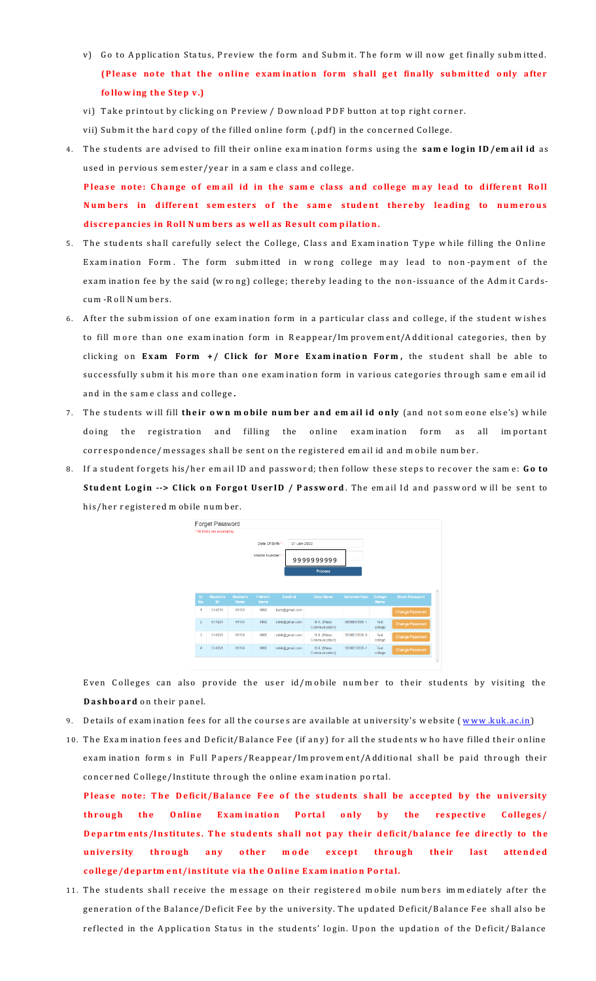- v) Go to Application Status, Preview the form and Submit. The form will now get finally submitted. (Please note that the online examination form shall get finally submitted only after following the Step v.)
- vi) Take printout by clicking on Preview / Download PDF button at top right corner.
- vii) Subm it the hard copy of the filled online form (.pdf) in the concerned College.
- 4. The students are advised to fill their online examination forms using the same login ID/email id as used in pervious sem ester/year in a same class and college.

Please note: Change of email id in the same class and college may lead to different Roll **Numbers in different semesters of the same student thereby leading to numerous** discrepancies in Roll Numbers as well as Result compilation.

- 5. The students shall carefully select the College, Class and Examination Type while filling the Online Examination Form. The form submitted in wrong college may lead to non-payment of the exam ination fee by the said (w rong) college; thereby leading to the non-issuance of the Admit Cardscum - Roll Num bers.
- 6. After the subm ission of one examination form in a particular class and college, if the student wishes to fill m ore than one examination form in Reappear/Improvement/Additional categories, then by clicking on Exam Form +/ Click for More Examination Form, the student shall be able to successfully subm it his more than one examination form in various categories through same email id and in the same class and college.
- 7. The students will fill **their own mobile number and email id only** (and not someone else's) while doing the registration and filling the online examination form as all important correspondence/messages shall be sent on the registered em ail id and mobile number.
- 8. If a student forgets his/her em ail ID and password; then follow these steps to recover the same: Go to **Student Login --> Click on Forgot UserID / Password**. The email Id and password will be sent to his/her registered mobile number.



Even Colleges can also provide the user id/mobile number to their students by visiting the **Dashboard** on their panel.

- 9. Details of exam ination fees for all the courses are available at university's website (www.kuk.ac.in)
- 10. The Exam ination fees and Deficit/Balance Fee (if any) for all the students who have filled their online exam ination forms in Full Papers/Reappear/Im provem ent/Additional shall be paid through their concerned College/Institute through the online examination portal.

Please note: The Deficit/Balance Fee of the students shall be accepted by the university through the Online Examination Portal only by the respective Colleges/ Departments/Institutes. The students shall not pay their deficit/balance fee directly to the university through any other mode except through their last attended college/department/institute via the Online Exam ination Portal.

11. The students shall receive the message on their registered mobile numbers immediately after the generation of the Balance/Deficit Fee by the university. The updated Deficit/Balance Fee shall also be reflected in the Application Status in the students' login. Upon the updation of the Deficit/Balance